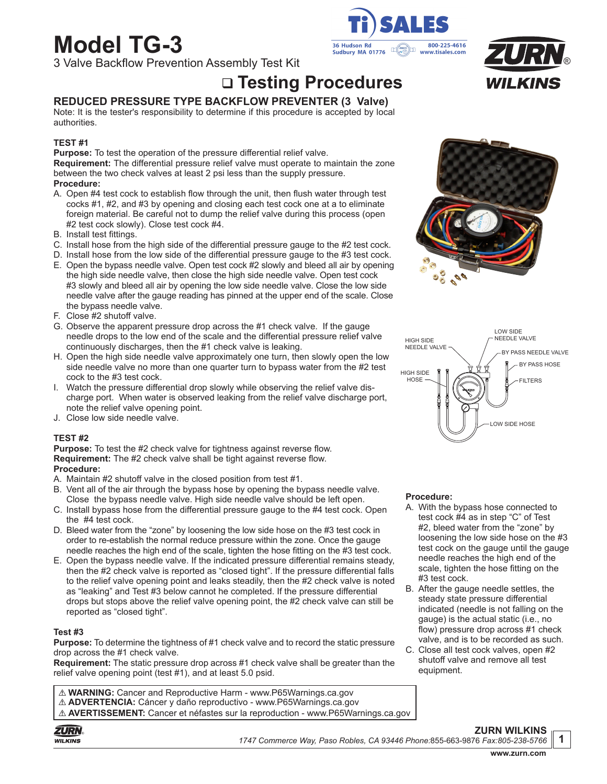# **Model TG-3**

3 Valve Backflow Prevention Assembly Test Kit

# **Testing Procedures**

# **REDUCED PRESSURE TYPE BACKFLOW PREVENTER (3 Valve)**

Note: It is the tester's responsibility to determine if this procedure is accepted by local authorities.

#### **TEST #1**

**Purpose:** To test the operation of the pressure differential relief valve. **Requirement:** The differential pressure relief valve must operate to maintain the zone between the two check valves at least 2 psi less than the supply pressure. **Procedure:**

- A. Open #4 test cock to establish flow through the unit, then flush water through test cocks #1, #2, and #3 by opening and closing each test cock one at a to eliminate foreign material. Be careful not to dump the relief valve during this process (open #2 test cock slowly). Close test cock #4.
- B. Install test fittings.
- C. Install hose from the high side of the differential pressure gauge to the #2 test cock.
- D. Install hose from the low side of the differential pressure gauge to the #3 test cock.
- E. Open the bypass needle valve. Open test cock #2 slowly and bleed all air by opening the high side needle valve, then close the high side needle valve. Open test cock #3 slowly and bleed all air by opening the low side needle valve. Close the low side needle valve after the gauge reading has pinned at the upper end of the scale. Close the bypass needle valve.
- F. Close #2 shutoff valve.
- G. Observe the apparent pressure drop across the #1 check valve. If the gauge needle drops to the low end of the scale and the differential pressure relief valve continuously discharges, then the #1 check valve is leaking.
- H. Open the high side needle valve approximately one turn, then slowly open the low side needle valve no more than one quarter turn to bypass water from the #2 test cock to the #3 test cock.
- I. Watch the pressure differential drop slowly while observing the relief valve discharge port. When water is observed leaking from the relief valve discharge port, note the relief valve opening point.
- J. Close low side needle valve.

#### **TEST #2**

**Purpose:** To test the #2 check valve for tightness against reverse flow. **Requirement:** The #2 check valve shall be tight against reverse flow. **Procedure:**

- A. Maintain #2 shutoff valve in the closed position from test #1.
- B. Vent all of the air through the bypass hose by opening the bypass needle valve. Close the bypass needle valve. High side needle valve should be left open.
- C. Install bypass hose from the differential pressure gauge to the #4 test cock. Open the #4 test cock.
- D. Bleed water from the "zone" by loosening the low side hose on the #3 test cock in order to re-establish the normal reduce pressure within the zone. Once the gauge needle reaches the high end of the scale, tighten the hose fitting on the #3 test cock.
- E. Open the bypass needle valve. If the indicated pressure differential remains steady, then the #2 check valve is reported as "closed tight". If the pressure differential falls to the relief valve opening point and leaks steadily, then the #2 check valve is noted as "leaking" and Test #3 below cannot he completed. If the pressure differential drops but stops above the relief valve opening point, the #2 check valve can still be reported as "closed tight".

#### **Test #3**

**Purpose:** To determine the tightness of #1 check valve and to record the static pressure drop across the #1 check valve.

**Requirement:** The static pressure drop across #1 check valve shall be greater than the relief valve opening point (test #1), and at least 5.0 psid.

! **WARNING:** Cancer and Reproductive Harm - www.P65Warnings.ca.gov ! **ADVERTENCIA:** Cáncer y daño reproductivo - www.P65Warnings.ca.gov ! **AVERTISSEMENT:** Cancer et néfastes sur la reproduction - www.P65Warnings.ca.gov









#### **Procedure:**

- A. With the bypass hose connected to test cock #4 as in step "C" of Test #2, bleed water from the "zone" by loosening the low side hose on the #3 test cock on the gauge until the gauge needle reaches the high end of the scale, tighten the hose fitting on the #3 test cock.
- B. After the gauge needle settles, the steady state pressure differential indicated (needle is not falling on the gauge) is the actual static (i.e., no flow) pressure drop across #1 check valve, and is to be recorded as such.
- C. Close all test cock valves, open #2 shutoff valve and remove all test equipment.



#### **ZURN WILKINS** *1747 Commerce Way, Paso Robles, CA 93446 Phone:*855-663-9876 *Fax:805-238-5766* **1**